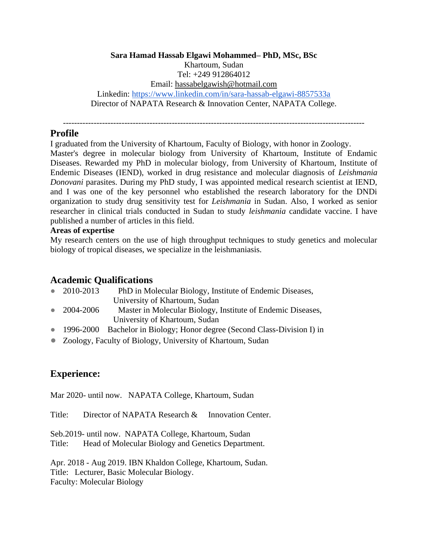### **Sara Hamad Hassab Elgawi Mohammed– PhD, MSc, BSc** Khartoum, Sudan Tel: +249 912864012 Email: [hassabelgawish@hotmail.com](mailto:hassabelgawish@hotmail.com) Linkedin:<https://www.linkedin.com/in/sara-hassab-elgawi-8857533a> Director of NAPATA Research & Innovation Center, NAPATA College.

------------------------------------------------------------------------------------------------------------

## **Profile**

I graduated from the University of Khartoum, Faculty of Biology, with honor in Zoology.

Master's degree in molecular biology from University of Khartoum, Institute of Endamic Diseases. Rewarded my PhD in molecular biology, from University of Khartoum, Institute of Endemic Diseases (IEND), worked in drug resistance and molecular diagnosis of *Leishmania Donovani* parasites. During my PhD study, I was appointed medical research scientist at IEND, and I was one of the key personnel who established the research laboratory for the DNDi organization to study drug sensitivity test for *Leishmania* in Sudan. Also, I worked as senior researcher in clinical trials conducted in Sudan to study *leishmania* candidate vaccine. I have published a number of articles in this field.

### **Areas of expertise**

My research centers on the use of high throughput techniques to study genetics and molecular biology of tropical diseases, we specialize in the leishmaniasis.

# **Academic Qualifications**

- 2010-2013 PhD in Molecular Biology, Institute of Endemic Diseases, University of Khartoum, Sudan
- 2004-2006 Master in Molecular Biology, Institute of Endemic Diseases, University of Khartoum, Sudan
- 1996-2000 Bachelor in Biology; Honor degree (Second Class-Division I) in
- Zoology, Faculty of Biology, University of Khartoum, Sudan

# **Experience:**

Mar 2020- until now. NAPATA College, Khartoum, Sudan

Title: Director of NAPATA Research & Innovation Center.

Seb.2019- until now. NAPATA College, Khartoum, Sudan Title: Head of Molecular Biology and Genetics Department.

Apr. 2018 - Aug 2019. IBN Khaldon College, Khartoum, Sudan. Title: Lecturer, Basic Molecular Biology. Faculty: Molecular Biology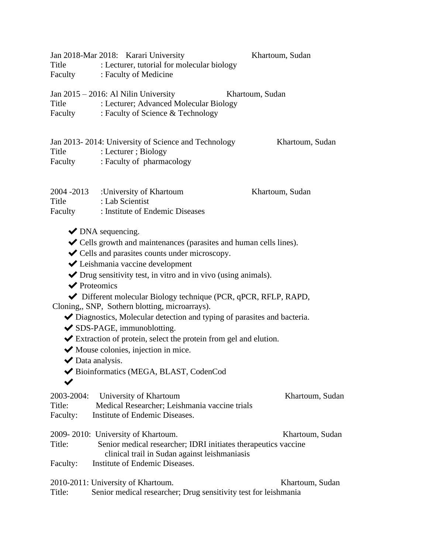| Title                            | Jan 2018-Mar 2018: Karari University<br>: Lecturer, tutorial for molecular biology<br>Faculty : Faculty of Medicine                                                                                                                                                                                                                                                                                                                                                                                                                                                                                                                                                                                                                                                   | Khartoum, Sudan |
|----------------------------------|-----------------------------------------------------------------------------------------------------------------------------------------------------------------------------------------------------------------------------------------------------------------------------------------------------------------------------------------------------------------------------------------------------------------------------------------------------------------------------------------------------------------------------------------------------------------------------------------------------------------------------------------------------------------------------------------------------------------------------------------------------------------------|-----------------|
| Title<br>Faculty                 | Jan $2015 - 2016$ : Al Nilin University<br>: Lecturer; Advanced Molecular Biology<br>: Faculty of Science & Technology                                                                                                                                                                                                                                                                                                                                                                                                                                                                                                                                                                                                                                                | Khartoum, Sudan |
| Title                            | Jan 2013-2014: University of Science and Technology<br>: Lecturer ; Biology<br>Faculty : Faculty of pharmacology                                                                                                                                                                                                                                                                                                                                                                                                                                                                                                                                                                                                                                                      | Khartoum, Sudan |
| 2004 - 2013<br>Title<br>Faculty  | :University of Khartoum<br>: Lab Scientist<br>: Institute of Endemic Diseases                                                                                                                                                                                                                                                                                                                                                                                                                                                                                                                                                                                                                                                                                         | Khartoum, Sudan |
|                                  | $\blacktriangleright$ DNA sequencing.<br>◆ Cells growth and maintenances (parasites and human cells lines).<br>$\blacktriangleright$ Cells and parasites counts under microscopy.<br>← Leishmania vaccine development<br>$\blacktriangleright$ Drug sensitivity test, in vitro and in vivo (using animals).<br>$\blacktriangleright$ Proteomics<br>Different molecular Biology technique (PCR, qPCR, RFLP, RAPD,<br>Cloning,, SNP, Sothern blotting, microarrays).<br>Diagnostics, Molecular detection and typing of parasites and bacteria.<br>◆ SDS-PAGE, immunoblotting.<br>Extraction of protein, select the protein from gel and elution.<br>$\blacktriangleright$ Mouse colonies, injection in mice.<br>Data analysis.<br>Bioinformatics (MEGA, BLAST, CodenCod |                 |
| 2003-2004:<br>Title:<br>Faculty: | University of Khartoum<br>Medical Researcher; Leishmania vaccine trials<br>Institute of Endemic Diseases.                                                                                                                                                                                                                                                                                                                                                                                                                                                                                                                                                                                                                                                             | Khartoum, Sudan |
| Title:<br>Faculty:               | 2009-2010: University of Khartoum.<br>Senior medical researcher; IDRI initiates therapeutics vaccine<br>clinical trail in Sudan against leishmaniasis<br>Institute of Endemic Diseases.                                                                                                                                                                                                                                                                                                                                                                                                                                                                                                                                                                               | Khartoum, Sudan |
| Title:                           | 2010-2011: University of Khartoum.<br>Senior medical researcher; Drug sensitivity test for leishmania                                                                                                                                                                                                                                                                                                                                                                                                                                                                                                                                                                                                                                                                 | Khartoum, Sudan |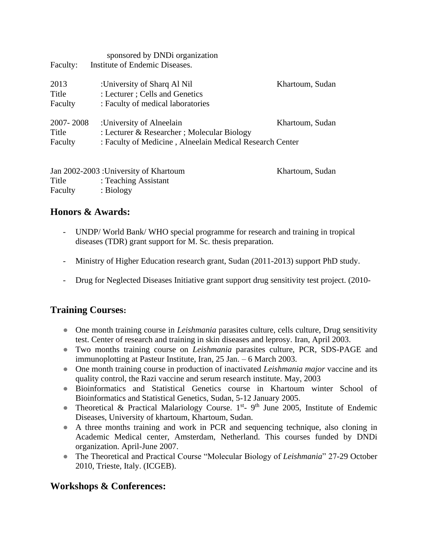| Faculty:  | sponsored by DND iorganization<br>Institute of Endemic Diseases. |                       |
|-----------|------------------------------------------------------------------|-----------------------|
|           |                                                                  |                       |
| 2013      | :University of Sharq Al Nil                                      | Khartoum, Sudan       |
| Title     | : Lecturer ; Cells and Genetics                                  |                       |
| Faculty   | : Faculty of medical laboratories                                |                       |
| 2007-2008 | :University of Alneelain                                         | Khartoum, Sudan       |
| Title     | : Lecturer & Researcher ; Molecular Biology                      |                       |
| Faculty   | : Faculty of Medicine, Alneelain Medical Research Center         |                       |
|           | Lan 2002.2002 J.Haivargity of $V$ boutown                        | <i>Vhortoma</i> Cudan |

| Jan 2002-2003 : University of Khartoum |                      | Khartoum, Sudan |
|----------------------------------------|----------------------|-----------------|
| Title                                  | : Teaching Assistant |                 |
| Faculty                                | : Biology            |                 |

# **Honors & Awards:**

- UNDP/ World Bank/ WHO special programme for research and training in tropical diseases (TDR) grant support for M. Sc. thesis preparation.
- Ministry of Higher Education research grant, Sudan (2011-2013) support PhD study.
- Drug for Neglected Diseases Initiative grant support drug sensitivity test project. (2010-

# **Training Courses:**

- One month training course in *Leishmania* parasites culture, cells culture, Drug sensitivity test. Center of research and training in skin diseases and leprosy. Iran, April 2003.
- Two months training course on *Leishmania* parasites culture, PCR, SDS-PAGE and immunoplotting at Pasteur Institute, Iran, 25 Jan. – 6 March 2003.
- One month training course in production of inactivated *Leishmania major* vaccine and its quality control, the Razi vaccine and serum research institute. May, 2003
- Bioinformatics and Statistical Genetics course in Khartoum winter School of Bioinformatics and Statistical Genetics, Sudan, 5-12 January 2005.
- Theoretical & Practical Malariology Course. 1<sup>st</sup>- 9<sup>th</sup> June 2005, Institute of Endemic Diseases, University of khartoum, Khartoum, Sudan.
- A three months training and work in PCR and sequencing technique, also cloning in Academic Medical center, Amsterdam, Netherland. This courses funded by DNDi organization. April-June 2007.
- The Theoretical and Practical Course "Molecular Biology of *Leishmania*" 27-29 October 2010, Trieste, Italy. (ICGEB).

# **Workshops & Conferences:**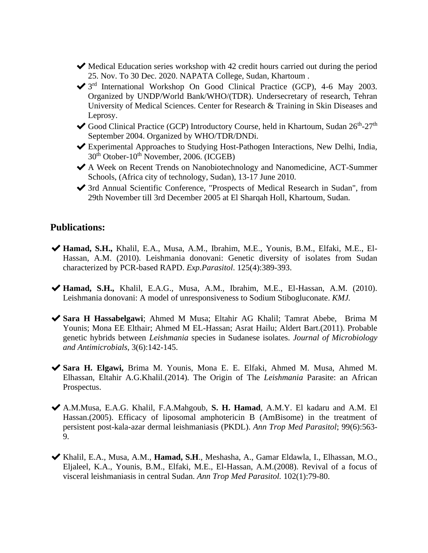- $\blacktriangleright$  Medical Education series workshop with 42 credit hours carried out during the period 25. Nov. To 30 Dec. 2020. NAPATA College, Sudan, Khartoum .
- ◆ 3<sup>rd</sup> International Workshop On Good Clinical Practice (GCP), 4-6 May 2003. Organized by UNDP/World Bank/WHO/(TDR). Undersecretary of research, Tehran University of Medical Sciences. Center for Research & Training in Skin Diseases and Leprosy.
- Good Clinical Practice (GCP) Introductory Course, held in Khartoum, Sudan 26<sup>th</sup>-27<sup>th</sup> September 2004. Organized by WHO/TDR/DNDi.
- ✔Experimental Approaches to Studying Host-Pathogen Interactions, New Delhi, India,  $30<sup>th</sup>$  Otober-10<sup>th</sup> November, 2006. (ICGEB)
- ✔A Week on Recent Trends on Nanobiotechnology and Nanomedicine, ACT-Summer Schools, (Africa city of technology, Sudan), 13-17 June 2010.
- ✔3rd Annual Scientific Conference, "Prospects of Medical Research in Sudan", from 29th November till 3rd December 2005 at El Sharqah Holl, Khartoum, Sudan.

## **Publications:**

- ◆ **Hamad, S.H.,** Khalil, E.A., Musa, A.M., Ibrahim, M.E., Younis, B.M., Elfaki, M.E., El-Hassan, A.M. (2010). Leishmania donovani: Genetic diversity of isolates from Sudan characterized by PCR-based RAPD. *Exp.Parasitol*. 125(4):389-393.
- ✔**Hamad, S.H.,** Khalil, E.A.G., Musa, A.M., Ibrahim, M.E., El-Hassan, A.M. (2010). Leishmania donovani: A model of unresponsiveness to Sodium Stibogluconate. *KMJ.*
- ✔**Sara H Hassabelgawi**; Ahmed M Musa; Eltahir AG Khalil; Tamrat Abebe, Brima M Younis; Mona EE Elthair; Ahmed M EL-Hassan; Asrat Hailu; Aldert Bart.(2011). Probable genetic hybrids between *Leishmania* species in Sudanese isolates. *Journal of Microbiology and Antimicrobials*, 3(6):142-145.
- ✔**Sara H. Elgawi,** Brima M. Younis, Mona E. E. Elfaki, Ahmed M. Musa, Ahmed M. Elhassan, Eltahir A.G.Khalil.(2014). The Origin of The *Leishmania* Parasite: an African Prospectus.
- ✔A.M.Musa, E.A.G. Khalil, F.A.Mahgoub, **S. H. Hamad**, A.M.Y. El kadaru and A.M. El Hassan.(2005). Efficacy of liposomal amphotericin B (AmBisome) in the treatment of persistent post-kala-azar dermal leishmaniasis (PKDL). *Ann Trop Med Parasitol*; 99(6):563- 9.
- ✔[Khalil, E.A., Musa, A.M.,](http://www.ncbi.nlm.nih.gov/pubmed/18186981?ordinalpos=2&itool=EntrezSystem2.PEntrez.Pubmed.Pubmed_ResultsPanel.Pubmed_RVDocSum) **[Hamad, S.H](http://www.ncbi.nlm.nih.gov/pubmed/18186981?ordinalpos=2&itool=EntrezSystem2.PEntrez.Pubmed.Pubmed_ResultsPanel.Pubmed_RVDocSum)**., Meshasha, A., Gamar [Eldawla, I., Elhassan, M.O.,](http://www.ncbi.nlm.nih.gov/pubmed/18186981?ordinalpos=2&itool=EntrezSystem2.PEntrez.Pubmed.Pubmed_ResultsPanel.Pubmed_RVDocSum)  [Eljaleel, K.A., Younis, B.M., Elfaki, M.E., El-Hassan, A.M.\(2008\). Revival of a focus of](http://www.ncbi.nlm.nih.gov/pubmed/18186981?ordinalpos=2&itool=EntrezSystem2.PEntrez.Pubmed.Pubmed_ResultsPanel.Pubmed_RVDocSum)  [visceral leishmaniasis in central Sudan.](http://www.ncbi.nlm.nih.gov/pubmed/18186981?ordinalpos=2&itool=EntrezSystem2.PEntrez.Pubmed.Pubmed_ResultsPanel.Pubmed_RVDocSum) *Ann Trop Med Parasitol.* 102(1):79-80.